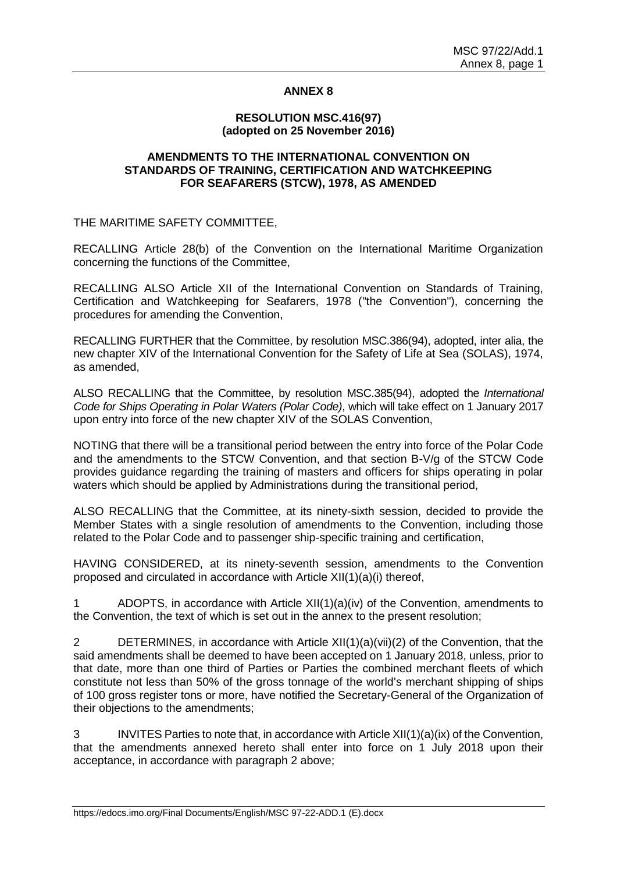## **ANNEX 8**

## **RESOLUTION MSC.416(97) (adopted on 25 November 2016)**

## **AMENDMENTS TO THE INTERNATIONAL CONVENTION ON STANDARDS OF TRAINING, CERTIFICATION AND WATCHKEEPING FOR SEAFARERS (STCW), 1978, AS AMENDED**

THE MARITIME SAFETY COMMITTEE,

RECALLING Article 28(b) of the Convention on the International Maritime Organization concerning the functions of the Committee,

RECALLING ALSO Article XII of the International Convention on Standards of Training, Certification and Watchkeeping for Seafarers, 1978 ("the Convention"), concerning the procedures for amending the Convention,

RECALLING FURTHER that the Committee, by resolution MSC.386(94), adopted, inter alia, the new chapter XIV of the International Convention for the Safety of Life at Sea (SOLAS), 1974, as amended,

ALSO RECALLING that the Committee, by resolution MSC.385(94), adopted the *International Code for Ships Operating in Polar Waters (Polar Code)*, which will take effect on 1 January 2017 upon entry into force of the new chapter XIV of the SOLAS Convention,

NOTING that there will be a transitional period between the entry into force of the Polar Code and the amendments to the STCW Convention, and that section B-V/g of the STCW Code provides guidance regarding the training of masters and officers for ships operating in polar waters which should be applied by Administrations during the transitional period,

ALSO RECALLING that the Committee, at its ninety-sixth session, decided to provide the Member States with a single resolution of amendments to the Convention, including those related to the Polar Code and to passenger ship-specific training and certification,

HAVING CONSIDERED, at its ninety-seventh session, amendments to the Convention proposed and circulated in accordance with Article XII(1)(a)(i) thereof,

1 ADOPTS, in accordance with Article XII(1)(a)(iv) of the Convention, amendments to the Convention, the text of which is set out in the annex to the present resolution;

2 DETERMINES, in accordance with Article XII(1)(a)(vii)(2) of the Convention, that the said amendments shall be deemed to have been accepted on 1 January 2018, unless, prior to that date, more than one third of Parties or Parties the combined merchant fleets of which constitute not less than 50% of the gross tonnage of the world's merchant shipping of ships of 100 gross register tons or more, have notified the Secretary-General of the Organization of their objections to the amendments;

3 INVITES Parties to note that, in accordance with Article XII(1)(a)(ix) of the Convention, that the amendments annexed hereto shall enter into force on 1 July 2018 upon their acceptance, in accordance with paragraph 2 above;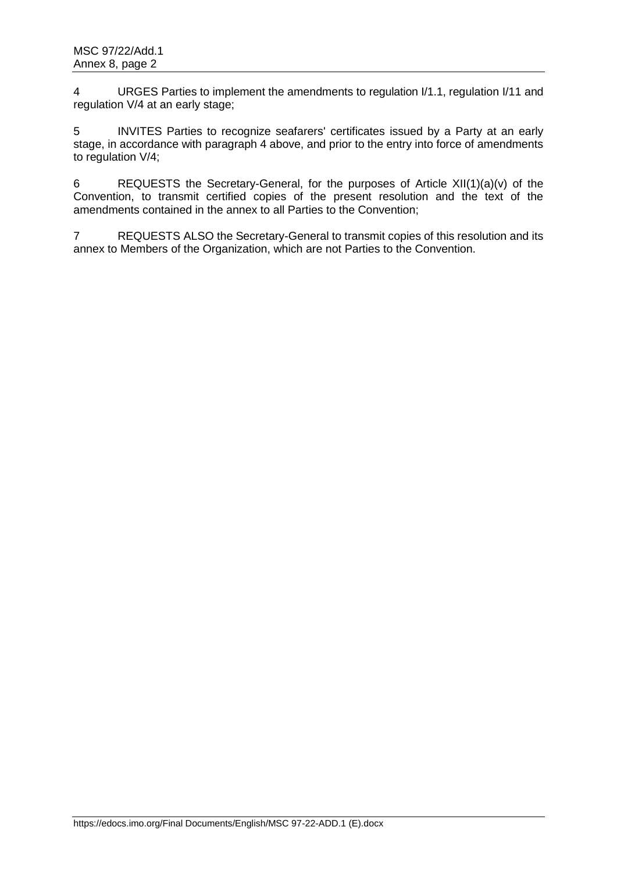4 URGES Parties to implement the amendments to regulation I/1.1, regulation I/11 and regulation V/4 at an early stage;

5 INVITES Parties to recognize seafarers' certificates issued by a Party at an early stage, in accordance with paragraph 4 above, and prior to the entry into force of amendments to regulation V/4;

6 REQUESTS the Secretary-General, for the purposes of Article XII(1)(a)(v) of the Convention, to transmit certified copies of the present resolution and the text of the amendments contained in the annex to all Parties to the Convention;

7 REQUESTS ALSO the Secretary-General to transmit copies of this resolution and its annex to Members of the Organization, which are not Parties to the Convention.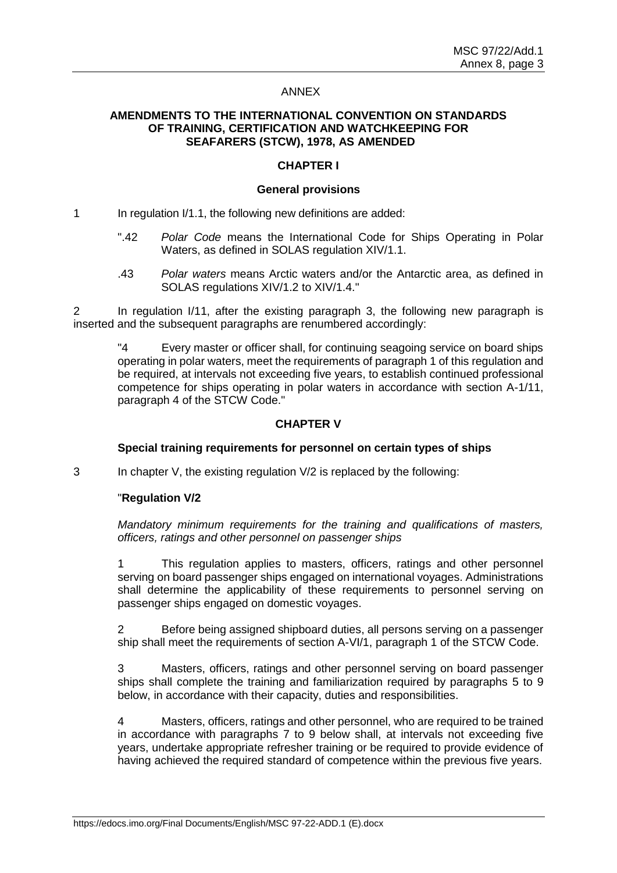## ANNEX

## **AMENDMENTS TO THE INTERNATIONAL CONVENTION ON STANDARDS OF TRAINING, CERTIFICATION AND WATCHKEEPING FOR SEAFARERS (STCW), 1978, AS AMENDED**

## **CHAPTER I**

#### **General provisions**

1 In regulation I/1.1, the following new definitions are added:

- ".42 *Polar Code* means the International Code for Ships Operating in Polar Waters, as defined in SOLAS regulation XIV/1.1.
- .43 *Polar waters* means Arctic waters and/or the Antarctic area, as defined in SOLAS regulations XIV/1.2 to XIV/1.4."

2 In regulation I/11, after the existing paragraph 3, the following new paragraph is inserted and the subsequent paragraphs are renumbered accordingly:

"4 Every master or officer shall, for continuing seagoing service on board ships operating in polar waters, meet the requirements of paragraph 1 of this regulation and be required, at intervals not exceeding five years, to establish continued professional competence for ships operating in polar waters in accordance with section A-1/11, paragraph 4 of the STCW Code."

## **CHAPTER V**

## **Special training requirements for personnel on certain types of ships**

3 In chapter V, the existing regulation V/2 is replaced by the following:

## "**Regulation V/2**

*Mandatory minimum requirements for the training and qualifications of masters, officers, ratings and other personnel on passenger ships*

1 This regulation applies to masters, officers, ratings and other personnel serving on board passenger ships engaged on international voyages. Administrations shall determine the applicability of these requirements to personnel serving on passenger ships engaged on domestic voyages.

2 Before being assigned shipboard duties, all persons serving on a passenger ship shall meet the requirements of section A-VI/1, paragraph 1 of the STCW Code.

3 Masters, officers, ratings and other personnel serving on board passenger ships shall complete the training and familiarization required by paragraphs 5 to 9 below, in accordance with their capacity, duties and responsibilities.

4 Masters, officers, ratings and other personnel, who are required to be trained in accordance with paragraphs 7 to 9 below shall, at intervals not exceeding five years, undertake appropriate refresher training or be required to provide evidence of having achieved the required standard of competence within the previous five years.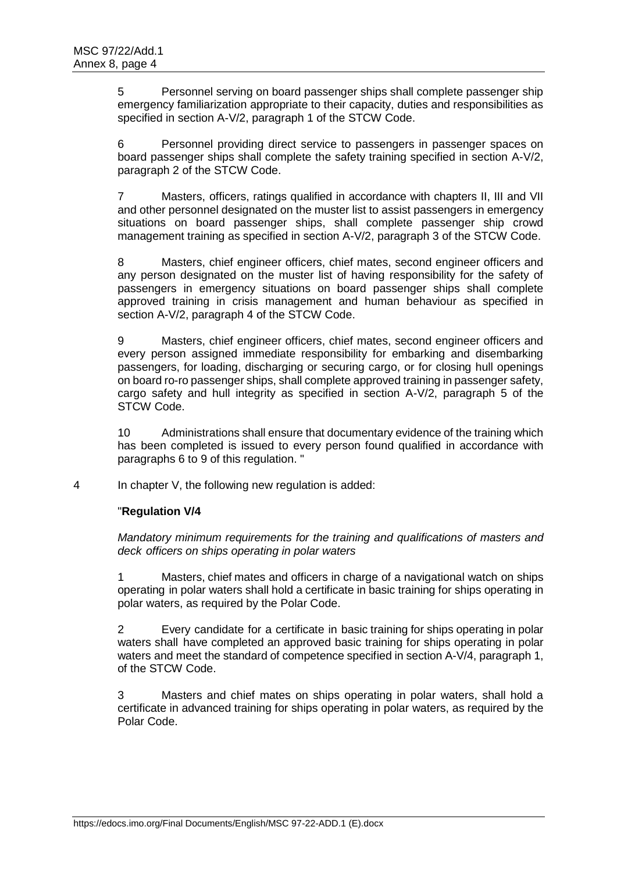5 Personnel serving on board passenger ships shall complete passenger ship emergency familiarization appropriate to their capacity, duties and responsibilities as specified in section A-V/2, paragraph 1 of the STCW Code.

6 Personnel providing direct service to passengers in passenger spaces on board passenger ships shall complete the safety training specified in section A-V/2, paragraph 2 of the STCW Code.

7 Masters, officers, ratings qualified in accordance with chapters II, III and VII and other personnel designated on the muster list to assist passengers in emergency situations on board passenger ships, shall complete passenger ship crowd management training as specified in section A-V/2, paragraph 3 of the STCW Code.

8 Masters, chief engineer officers, chief mates, second engineer officers and any person designated on the muster list of having responsibility for the safety of passengers in emergency situations on board passenger ships shall complete approved training in crisis management and human behaviour as specified in section A-V/2, paragraph 4 of the STCW Code.

9 Masters, chief engineer officers, chief mates, second engineer officers and every person assigned immediate responsibility for embarking and disembarking passengers, for loading, discharging or securing cargo, or for closing hull openings on board ro-ro passenger ships, shall complete approved training in passenger safety, cargo safety and hull integrity as specified in section A-V/2, paragraph 5 of the STCW Code.

10 Administrations shall ensure that documentary evidence of the training which has been completed is issued to every person found qualified in accordance with paragraphs 6 to 9 of this regulation. "

4 In chapter V, the following new regulation is added:

# "**Regulation V/4**

*Mandatory minimum requirements for the training and qualifications of masters and deck officers on ships operating in polar waters*

1 Masters, chief mates and officers in charge of a navigational watch on ships operating in polar waters shall hold a certificate in basic training for ships operating in polar waters, as required by the Polar Code.

2 Every candidate for a certificate in basic training for ships operating in polar waters shall have completed an approved basic training for ships operating in polar waters and meet the standard of competence specified in section A-V/4, paragraph 1, of the STCW Code.

3 Masters and chief mates on ships operating in polar waters, shall hold a certificate in advanced training for ships operating in polar waters, as required by the Polar Code.